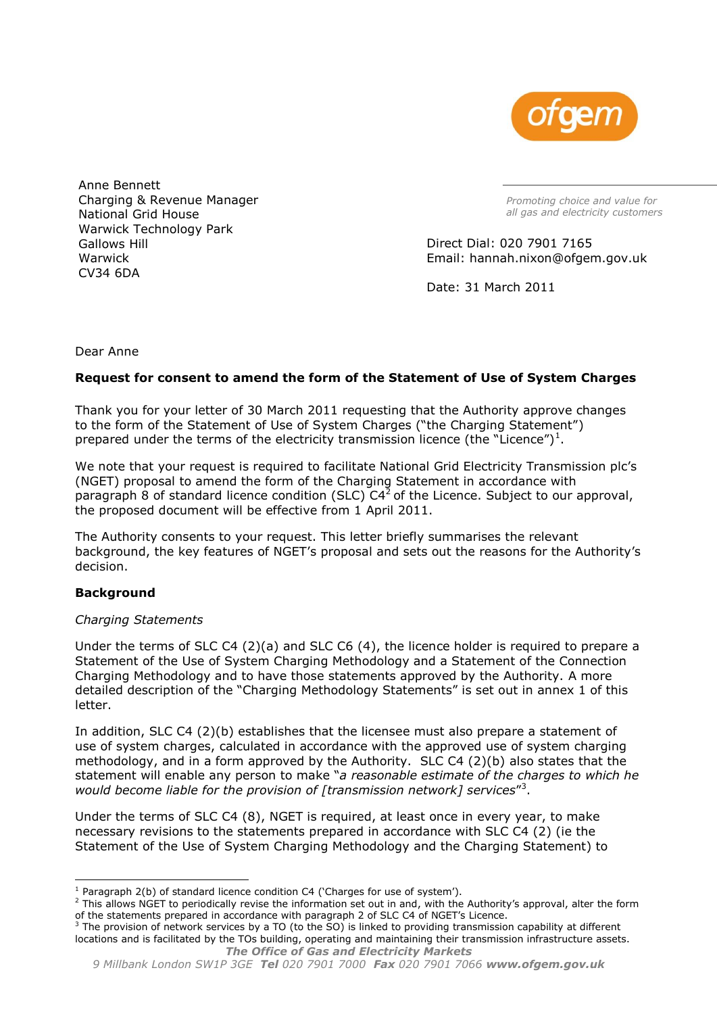

Anne Bennett Charging & Revenue Manager National Grid House Warwick Technology Park Gallows Hill Warwick CV34 6DA

*Promoting choice and value for all gas and electricity customers*

Direct Dial: 020 7901 7165 Email: hannah.nixon@ofgem.gov.uk

Date: 31 March 2011

Dear Anne

# **Request for consent to amend the form of the Statement of Use of System Charges**

Thank you for your letter of 30 March 2011 requesting that the Authority approve changes to the form of the Statement of Use of System Charges ("the Charging Statement") prepared under the terms of the electricity transmission licence (the "Licence")<sup>1</sup>.

We note that your request is required to facilitate National Grid Electricity Transmission plc"s (NGET) proposal to amend the form of the Charging Statement in accordance with paragraph 8 of standard licence condition (SLC)  $C4<sup>2</sup>$  of the Licence. Subject to our approval, the proposed document will be effective from 1 April 2011.

The Authority consents to your request. This letter briefly summarises the relevant background, the key features of NGET"s proposal and sets out the reasons for the Authority"s decision.

### **Background**

### *Charging Statements*

Under the terms of SLC C4 (2)(a) and SLC C6 (4), the licence holder is required to prepare a Statement of the Use of System Charging Methodology and a Statement of the Connection Charging Methodology and to have those statements approved by the Authority. A more detailed description of the "Charging Methodology Statements" is set out in annex 1 of this letter.

In addition, SLC C4 (2)(b) establishes that the licensee must also prepare a statement of use of system charges, calculated in accordance with the approved use of system charging methodology, and in a form approved by the Authority. SLC C4 (2)(b) also states that the statement will enable any person to make "*a reasonable estimate of the charges to which he*  would become liable for the provision of [transmission network] services"<sup>3</sup>.

Under the terms of SLC C4 (8), NGET is required, at least once in every year, to make necessary revisions to the statements prepared in accordance with SLC C4 (2) (ie the Statement of the Use of System Charging Methodology and the Charging Statement) to

<sup>-</sup> $1$  Paragraph 2(b) of standard licence condition C4 ('Charges for use of system').

<sup>&</sup>lt;sup>2</sup> This allows NGET to periodically revise the information set out in and, with the Authority's approval, alter the form of the statements prepared in accordance with paragraph 2 of SLC C4 of NGET"s Licence.

*The Office of Gas and Electricity Markets*  $3$  The provision of network services by a TO (to the SO) is linked to providing transmission capability at different locations and is facilitated by the TOs building, operating and maintaining their transmission infrastructure assets.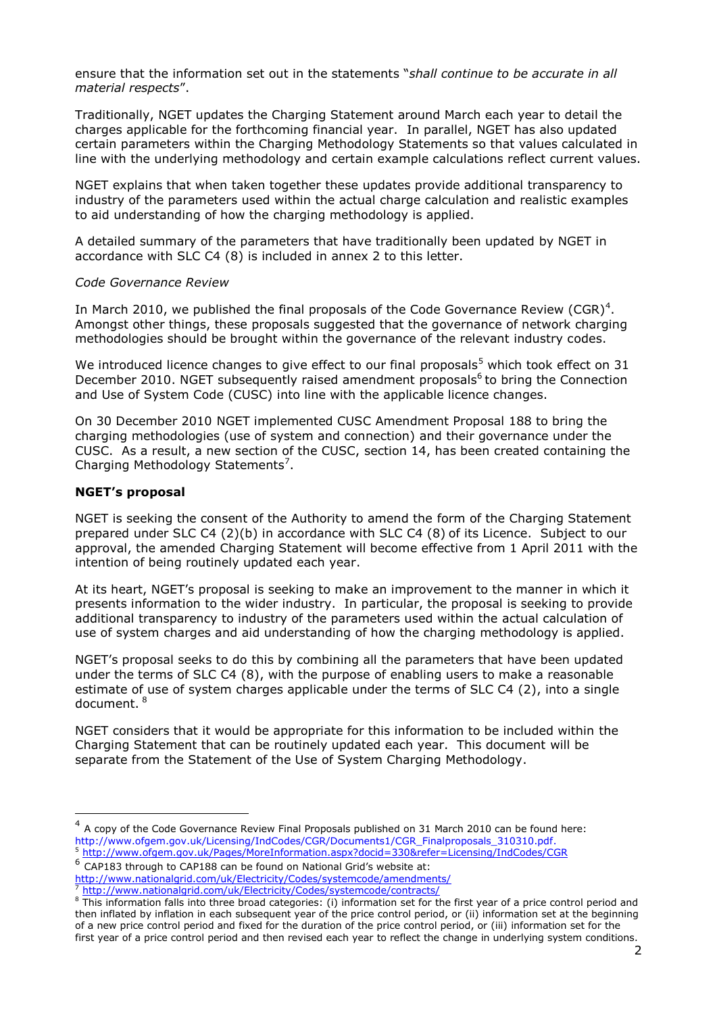ensure that the information set out in the statements "*shall continue to be accurate in all material respects*".

Traditionally, NGET updates the Charging Statement around March each year to detail the charges applicable for the forthcoming financial year. In parallel, NGET has also updated certain parameters within the Charging Methodology Statements so that values calculated in line with the underlying methodology and certain example calculations reflect current values.

NGET explains that when taken together these updates provide additional transparency to industry of the parameters used within the actual charge calculation and realistic examples to aid understanding of how the charging methodology is applied.

A detailed summary of the parameters that have traditionally been updated by NGET in accordance with SLC C4 (8) is included in annex 2 to this letter.

### *Code Governance Review*

In March 2010, we published the final proposals of the Code Governance Review (CGR)<sup>4</sup>. Amongst other things, these proposals suggested that the governance of network charging methodologies should be brought within the governance of the relevant industry codes.

We introduced licence changes to give effect to our final proposals<sup>5</sup> which took effect on 31 December 2010. NGET subsequently raised amendment proposals<sup>6</sup> to bring the Connection and Use of System Code (CUSC) into line with the applicable licence changes.

On 30 December 2010 NGET implemented CUSC Amendment Proposal 188 to bring the charging methodologies (use of system and connection) and their governance under the CUSC. As a result, a new section of the CUSC, section 14, has been created containing the Charging Methodology Statements<sup>7</sup>.

### **NGET's proposal**

-

NGET is seeking the consent of the Authority to amend the form of the Charging Statement prepared under SLC C4 (2)(b) in accordance with SLC C4 (8) of its Licence. Subject to our approval, the amended Charging Statement will become effective from 1 April 2011 with the intention of being routinely updated each year.

At its heart, NGET"s proposal is seeking to make an improvement to the manner in which it presents information to the wider industry. In particular, the proposal is seeking to provide additional transparency to industry of the parameters used within the actual calculation of use of system charges and aid understanding of how the charging methodology is applied.

NGET"s proposal seeks to do this by combining all the parameters that have been updated under the terms of SLC C4 (8), with the purpose of enabling users to make a reasonable estimate of use of system charges applicable under the terms of SLC C4 (2), into a single document. <sup>8</sup>

NGET considers that it would be appropriate for this information to be included within the Charging Statement that can be routinely updated each year. This document will be separate from the Statement of the Use of System Charging Methodology.

 $<sup>4</sup>$  A copy of the Code Governance Review Final Proposals published on 31 March 2010 can be found here:</sup> http://www.ofgem.gov.uk/Licensing/IndCodes/CGR/Documents1/CGR\_Finalproposals\_310310.pdf.

<sup>5</sup> <http://www.ofgem.gov.uk/Pages/MoreInformation.aspx?docid=330&refer=Licensing/IndCodes/CGR>

 $6$  CAP183 through to CAP188 can be found on National Grid's website at:

<http://www.nationalgrid.com/uk/Electricity/Codes/systemcode/amendments/>

<http://www.nationalgrid.com/uk/Electricity/Codes/systemcode/contracts/>

<sup>&</sup>lt;sup>8</sup> This information falls into three broad categories: (i) information set for the first year of a price control period and then inflated by inflation in each subsequent year of the price control period, or (ii) information set at the beginning of a new price control period and fixed for the duration of the price control period, or (iii) information set for the first year of a price control period and then revised each year to reflect the change in underlying system conditions.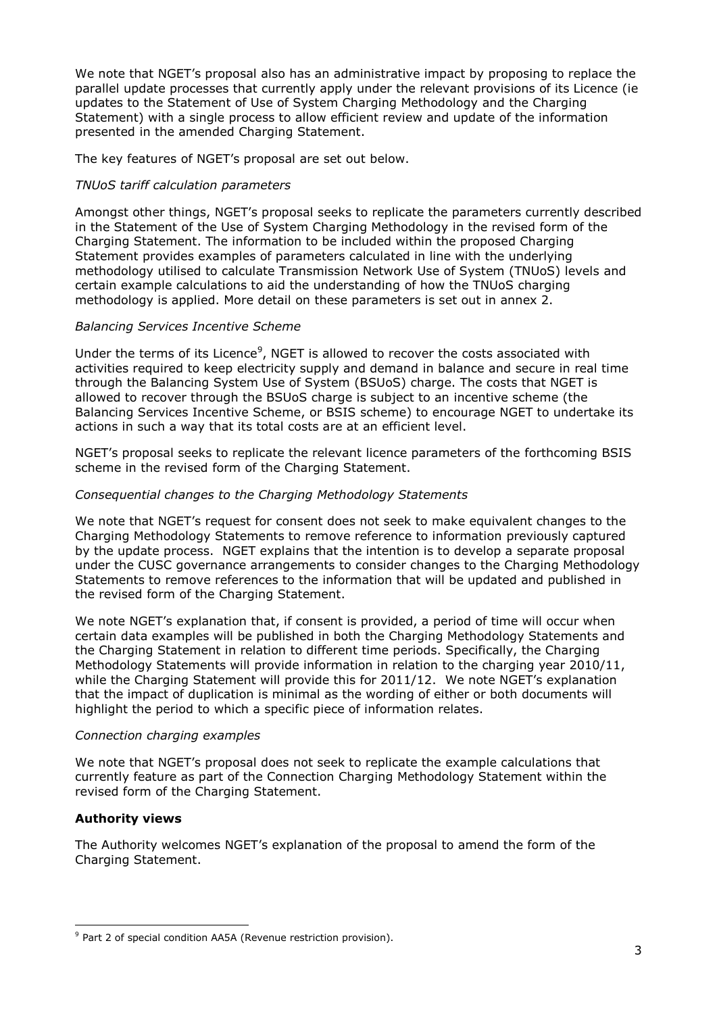We note that NGET's proposal also has an administrative impact by proposing to replace the parallel update processes that currently apply under the relevant provisions of its Licence (ie updates to the Statement of Use of System Charging Methodology and the Charging Statement) with a single process to allow efficient review and update of the information presented in the amended Charging Statement.

The key features of NGET's proposal are set out below.

# *TNUoS tariff calculation parameters*

Amongst other things, NGET"s proposal seeks to replicate the parameters currently described in the Statement of the Use of System Charging Methodology in the revised form of the Charging Statement. The information to be included within the proposed Charging Statement provides examples of parameters calculated in line with the underlying methodology utilised to calculate Transmission Network Use of System (TNUoS) levels and certain example calculations to aid the understanding of how the TNUoS charging methodology is applied. More detail on these parameters is set out in annex 2.

# *Balancing Services Incentive Scheme*

Under the terms of its Licence<sup>9</sup>, NGET is allowed to recover the costs associated with activities required to keep electricity supply and demand in balance and secure in real time through the Balancing System Use of System (BSUoS) charge. The costs that NGET is allowed to recover through the BSUoS charge is subject to an incentive scheme (the Balancing Services Incentive Scheme, or BSIS scheme) to encourage NGET to undertake its actions in such a way that its total costs are at an efficient level.

NGET's proposal seeks to replicate the relevant licence parameters of the forthcoming BSIS scheme in the revised form of the Charging Statement.

# *Consequential changes to the Charging Methodology Statements*

We note that NGET's request for consent does not seek to make equivalent changes to the Charging Methodology Statements to remove reference to information previously captured by the update process. NGET explains that the intention is to develop a separate proposal under the CUSC governance arrangements to consider changes to the Charging Methodology Statements to remove references to the information that will be updated and published in the revised form of the Charging Statement.

We note NGET's explanation that, if consent is provided, a period of time will occur when certain data examples will be published in both the Charging Methodology Statements and the Charging Statement in relation to different time periods. Specifically, the Charging Methodology Statements will provide information in relation to the charging year 2010/11, while the Charging Statement will provide this for 2011/12. We note NGET's explanation that the impact of duplication is minimal as the wording of either or both documents will highlight the period to which a specific piece of information relates.

### *Connection charging examples*

We note that NGET's proposal does not seek to replicate the example calculations that currently feature as part of the Connection Charging Methodology Statement within the revised form of the Charging Statement.

# **Authority views**

The Authority welcomes NGET"s explanation of the proposal to amend the form of the Charging Statement.

<sup>&</sup>lt;sup>9</sup> Part 2 of special condition AA5A (Revenue restriction provision).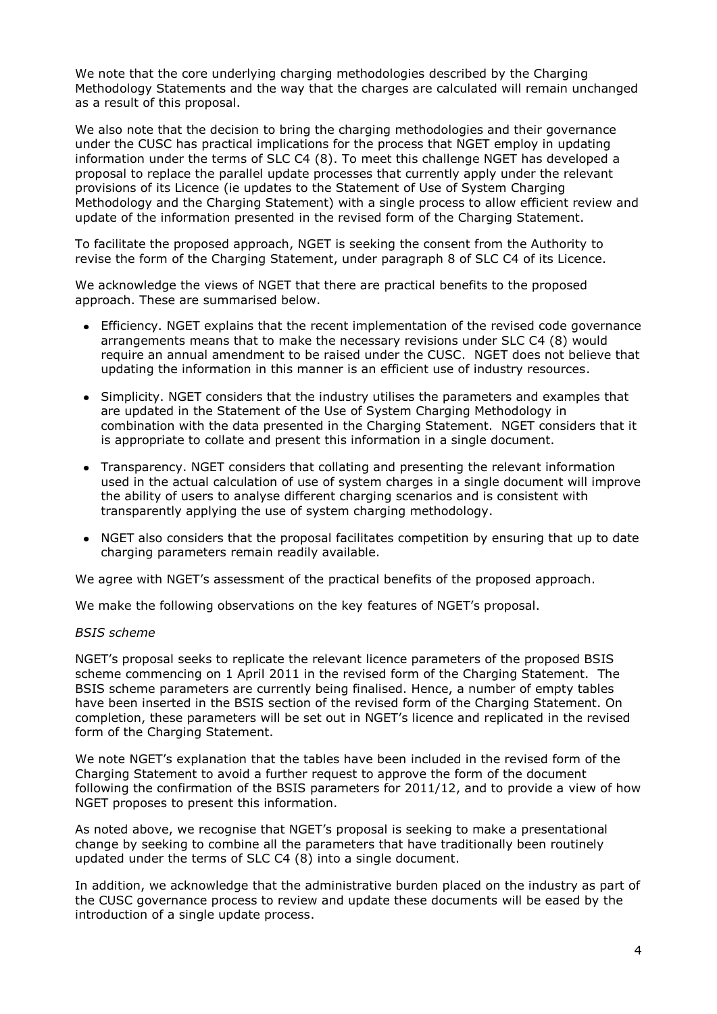We note that the core underlying charging methodologies described by the Charging Methodology Statements and the way that the charges are calculated will remain unchanged as a result of this proposal.

We also note that the decision to bring the charging methodologies and their governance under the CUSC has practical implications for the process that NGET employ in updating information under the terms of SLC C4 (8). To meet this challenge NGET has developed a proposal to replace the parallel update processes that currently apply under the relevant provisions of its Licence (ie updates to the Statement of Use of System Charging Methodology and the Charging Statement) with a single process to allow efficient review and update of the information presented in the revised form of the Charging Statement.

To facilitate the proposed approach, NGET is seeking the consent from the Authority to revise the form of the Charging Statement, under paragraph 8 of SLC C4 of its Licence.

We acknowledge the views of NGET that there are practical benefits to the proposed approach. These are summarised below.

- Efficiency. NGET explains that the recent implementation of the revised code governance arrangements means that to make the necessary revisions under SLC C4 (8) would require an annual amendment to be raised under the CUSC. NGET does not believe that updating the information in this manner is an efficient use of industry resources.
- Simplicity. NGET considers that the industry utilises the parameters and examples that are updated in the Statement of the Use of System Charging Methodology in combination with the data presented in the Charging Statement. NGET considers that it is appropriate to collate and present this information in a single document.
- Transparency. NGET considers that collating and presenting the relevant information used in the actual calculation of use of system charges in a single document will improve the ability of users to analyse different charging scenarios and is consistent with transparently applying the use of system charging methodology.
- NGET also considers that the proposal facilitates competition by ensuring that up to date charging parameters remain readily available.

We agree with NGET's assessment of the practical benefits of the proposed approach.

We make the following observations on the key features of NGET's proposal.

#### *BSIS scheme*

NGET"s proposal seeks to replicate the relevant licence parameters of the proposed BSIS scheme commencing on 1 April 2011 in the revised form of the Charging Statement. The BSIS scheme parameters are currently being finalised. Hence, a number of empty tables have been inserted in the BSIS section of the revised form of the Charging Statement. On completion, these parameters will be set out in NGET"s licence and replicated in the revised form of the Charging Statement.

We note NGET"s explanation that the tables have been included in the revised form of the Charging Statement to avoid a further request to approve the form of the document following the confirmation of the BSIS parameters for 2011/12, and to provide a view of how NGET proposes to present this information.

As noted above, we recognise that NGET"s proposal is seeking to make a presentational change by seeking to combine all the parameters that have traditionally been routinely updated under the terms of SLC C4 (8) into a single document.

In addition, we acknowledge that the administrative burden placed on the industry as part of the CUSC governance process to review and update these documents will be eased by the introduction of a single update process.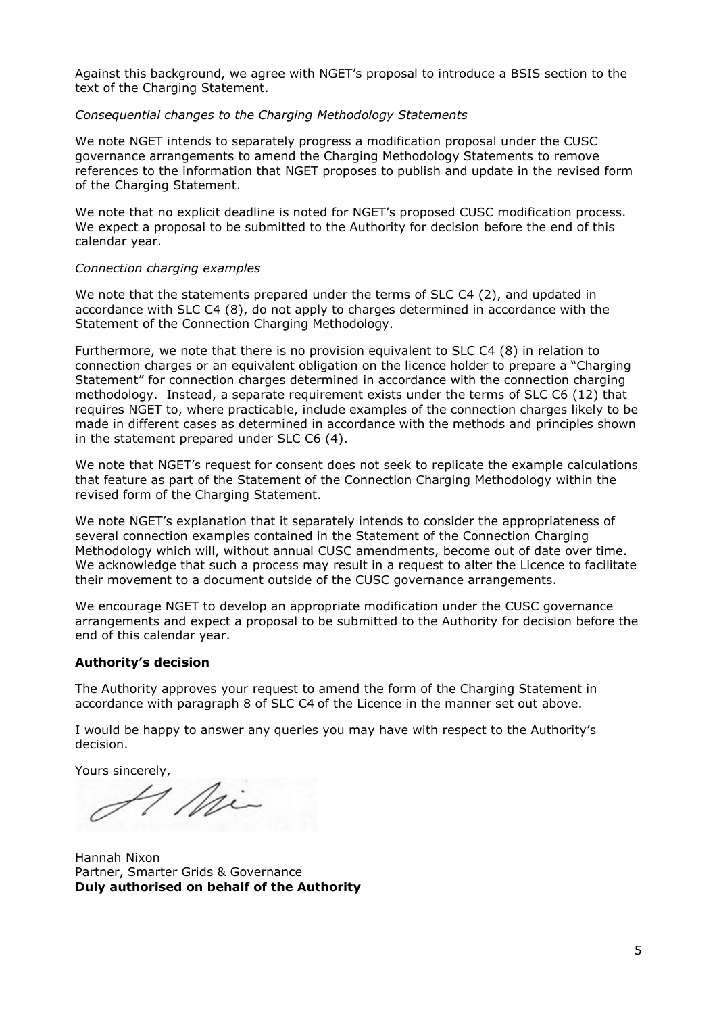Against this background, we agree with NGET"s proposal to introduce a BSIS section to the text of the Charging Statement.

### *Consequential changes to the Charging Methodology Statements*

We note NGET intends to separately progress a modification proposal under the CUSC governance arrangements to amend the Charging Methodology Statements to remove references to the information that NGET proposes to publish and update in the revised form of the Charging Statement.

We note that no explicit deadline is noted for NGET's proposed CUSC modification process. We expect a proposal to be submitted to the Authority for decision before the end of this calendar year.

### *Connection charging examples*

We note that the statements prepared under the terms of SLC C4 (2), and updated in accordance with SLC C4 (8), do not apply to charges determined in accordance with the Statement of the Connection Charging Methodology.

Furthermore, we note that there is no provision equivalent to SLC C4 (8) in relation to connection charges or an equivalent obligation on the licence holder to prepare a "Charging Statement" for connection charges determined in accordance with the connection charging methodology. Instead, a separate requirement exists under the terms of SLC C6 (12) that requires NGET to, where practicable, include examples of the connection charges likely to be made in different cases as determined in accordance with the methods and principles shown in the statement prepared under SLC C6 (4).

We note that NGET's request for consent does not seek to replicate the example calculations that feature as part of the Statement of the Connection Charging Methodology within the revised form of the Charging Statement.

We note NGET's explanation that it separately intends to consider the appropriateness of several connection examples contained in the Statement of the Connection Charging Methodology which will, without annual CUSC amendments, become out of date over time. We acknowledge that such a process may result in a request to alter the Licence to facilitate their movement to a document outside of the CUSC governance arrangements.

We encourage NGET to develop an appropriate modification under the CUSC governance arrangements and expect a proposal to be submitted to the Authority for decision before the end of this calendar year.

### **Authority's decision**

The Authority approves your request to amend the form of the Charging Statement in accordance with paragraph 8 of SLC C4 of the Licence in the manner set out above.

I would be happy to answer any queries you may have with respect to the Authority"s decision.

Yours sincerely,

7 Mi

Hannah Nixon Partner, Smarter Grids & Governance **Duly authorised on behalf of the Authority**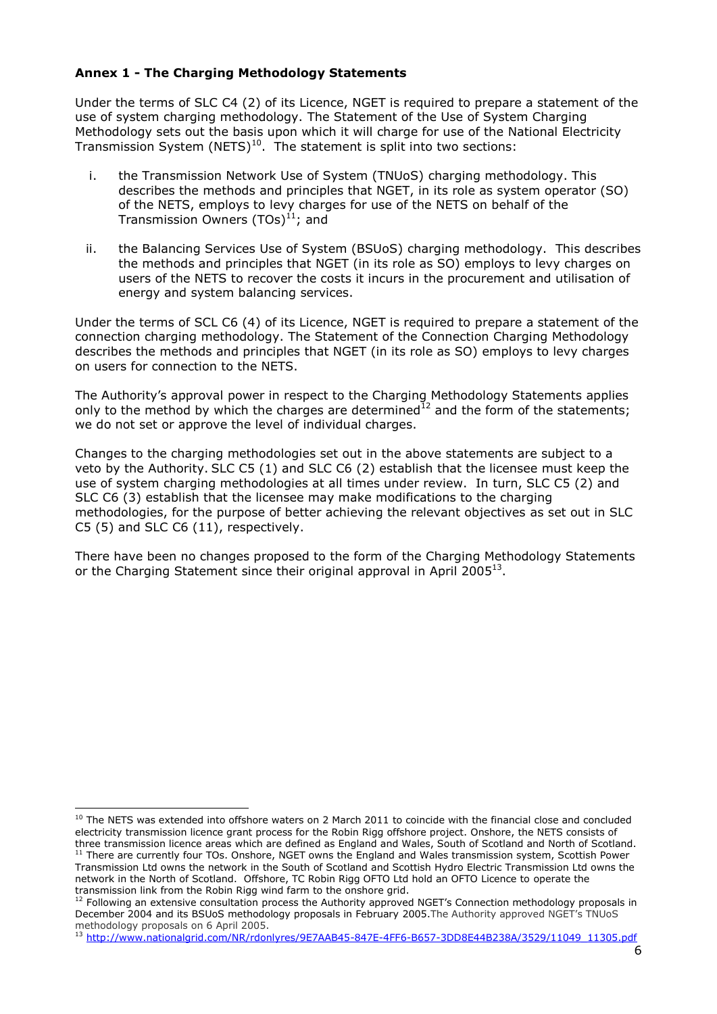# **Annex 1 - The Charging Methodology Statements**

Under the terms of SLC C4 (2) of its Licence, NGET is required to prepare a statement of the use of system charging methodology. The Statement of the Use of System Charging Methodology sets out the basis upon which it will charge for use of the National Electricity Transmission System (NETS)<sup>10</sup>. The statement is split into two sections:

- i. the Transmission Network Use of System (TNUoS) charging methodology. This describes the methods and principles that NGET, in its role as system operator (SO) of the NETS, employs to levy charges for use of the NETS on behalf of the Transmission Owners  $(TOs)^{11}$ ; and
- ii. the Balancing Services Use of System (BSUoS) charging methodology. This describes the methods and principles that NGET (in its role as SO) employs to levy charges on users of the NETS to recover the costs it incurs in the procurement and utilisation of energy and system balancing services.

Under the terms of SCL C6 (4) of its Licence, NGET is required to prepare a statement of the connection charging methodology. The Statement of the Connection Charging Methodology describes the methods and principles that NGET (in its role as SO) employs to levy charges on users for connection to the NETS.

The Authority"s approval power in respect to the Charging Methodology Statements applies only to the method by which the charges are determined<sup>12</sup> and the form of the statements; we do not set or approve the level of individual charges.

Changes to the charging methodologies set out in the above statements are subject to a veto by the Authority. SLC C5 (1) and SLC C6 (2) establish that the licensee must keep the use of system charging methodologies at all times under review. In turn, SLC C5 (2) and SLC C6 (3) establish that the licensee may make modifications to the charging methodologies, for the purpose of better achieving the relevant objectives as set out in SLC C5 (5) and SLC C6 (11), respectively.

There have been no changes proposed to the form of the Charging Methodology Statements or the Charging Statement since their original approval in April 2005 $^{13}$ .

<sup>1</sup>  $10$  The NETS was extended into offshore waters on 2 March 2011 to coincide with the financial close and concluded electricity transmission licence grant process for the Robin Rigg offshore project. Onshore, the NETS consists of three transmission licence areas which are defined as England and Wales, South of Scotland and North of Scotland.

<sup>&</sup>lt;sup>11</sup> There are currently four TOs. Onshore, NGET owns the England and Wales transmission system, Scottish Power Transmission Ltd owns the network in the South of Scotland and Scottish Hydro Electric Transmission Ltd owns the network in the North of Scotland. Offshore, TC Robin Rigg OFTO Ltd hold an OFTO Licence to operate the transmission link from the Robin Rigg wind farm to the onshore grid.

 $12$  Following an extensive consultation process the Authority approved NGET's Connection methodology proposals in December 2004 and its BSUoS methodology proposals in February 2005.The Authority approved NGET"s TNUoS methodology proposals on 6 April 2005.

<sup>13</sup> [http://www.nationalgrid.com/NR/rdonlyres/9E7AAB45-847E-4FF6-B657-3DD8E44B238A/3529/11049\\_11305.pdf](http://www.nationalgrid.com/NR/rdonlyres/9E7AAB45-847E-4FF6-B657-3DD8E44B238A/3529/11049_11305.pdf)